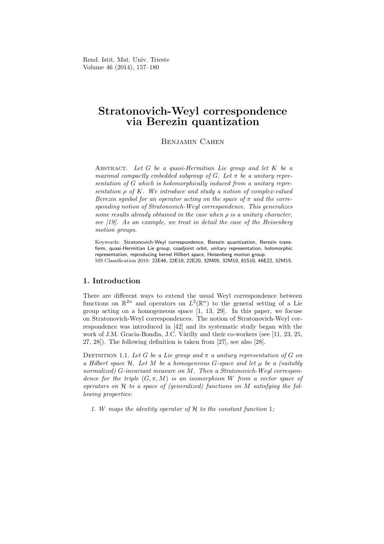Rend. Istit. Mat. Univ. Trieste Volume 46 (2014), 157–180

# Stratonovich-Weyl correspondence via Berezin quantization

# Benjamin Cahen

ABSTRACT. Let  $G$  be a quasi-Hermitian Lie group and let  $K$  be a maximal compactly embedded subgroup of G. Let  $\pi$  be a unitary representation of G which is holomorphically induced from a unitary representation  $\rho$  of K. We introduce and study a notion of complex-valued Berezin symbol for an operator acting on the space of  $\pi$  and the corresponding notion of Stratonovich-Weyl correspondence. This generalizes some results already obtained in the case when  $\rho$  is a unitary character, see [19]. As an example, we treat in detail the case of the Heisenberg motion groups.

Keywords: Stratonovich-Weyl correspondence, Berezin quantization, Berezin transform, quasi-Hermitian Lie group, coadjoint orbit, unitary representation, holomorphic representation, reproducing kernel Hilbert space, Heisenberg motion group. MS Classification 2010: 22E46, 22E10, 22E20, 32M05, 32M10, 81S10, 46E22, 32M15.

### 1. Introduction

There are different ways to extend the usual Weyl correspondence between functions on  $\mathbb{R}^{2n}$  and operators on  $L^2(\mathbb{R}^n)$  to the general setting of a Lie group acting on a homogeneous space [1, 13, 29]. In this paper, we focuse on Stratonovich-Weyl correspondences. The notion of Stratonovich-Weyl correspondence was introduced in [42] and its systematic study began with the work of J.M. Gracia-Bondìa, J.C. Vàrilly and their co-workers (see [11, 23, 25, 27, 28]). The following definition is taken from [27], see also [28].

DEFINITION 1.1. Let G be a Lie group and  $\pi$  a unitary representation of G on a Hilbert space  $H$ . Let M be a homogeneous G-space and let  $\mu$  be a (suitably normalized) G-invariant measure on M. Then a Stratonovich-Weyl correspondence for the triple  $(G, \pi, M)$  is an isomorphism W from a vector space of operators on  $H$  to a space of (generalized) functions on  $M$  satisfying the following properties:

1. W maps the identity operator of  $H$  to the constant function 1;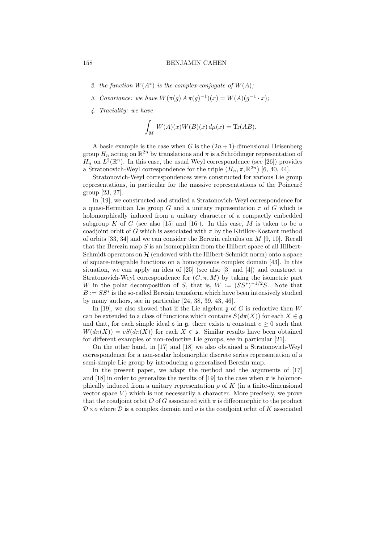- 2. the function  $W(A^*)$  is the complex-conjugate of  $W(A)$ ;
- 3. Covariance: we have  $W(\pi(g) A \pi(g)^{-1})(x) = W(A)(g^{-1} \cdot x);$
- 4. Traciality: we have

$$
\int_M W(A)(x)W(B)(x) d\mu(x) = \text{Tr}(AB).
$$

A basic example is the case when G is the  $(2n+1)$ -dimensional Heisenberg group  $H_n$  acting on  $\mathbb{R}^{2n}$  by translations and  $\pi$  is a Schrödinger representation of  $H_n$  on  $L^2(\mathbb{R}^n)$ . In this case, the usual Weyl correspondence (see [26]) provides a Stratonovich-Weyl correspondence for the triple  $(H_n, \pi, \mathbb{R}^{2n})$  [6, 40, 44].

Stratonovich-Weyl correspondences were constructed for various Lie group representations, in particular for the massive representations of the Poincaré group [23, 27].

In [19], we constructed and studied a Stratonovich-Weyl correspondence for a quasi-Hermitian Lie group G and a unitary representation  $\pi$  of G which is holomorphically induced from a unitary character of a compactly embedded subgroup K of G (see also [15] and [16]). In this case, M is taken to be a coadjoint orbit of G which is associated with  $\pi$  by the Kirillov-Kostant method of orbits [33, 34] and we can consider the Berezin calculus on  $M$  [9, 10]. Recall that the Berezin map  $S$  is an isomorphism from the Hilbert space of all Hilbert-Schmidt operators on  $H$  (endowed with the Hilbert-Schmidt norm) onto a space of square-integrable functions on a homogeneous complex domain [43]. In this situation, we can apply an idea of  $[25]$  (see also  $[3]$  and  $[4]$ ) and construct a Stratonovich-Weyl correspondence for  $(G, \pi, M)$  by taking the isometric part W in the polar decomposition of S, that is,  $W := (SS^*)^{-1/2}S$ . Note that  $B := SS^*$  is the so-called Berezin transform which have been intensively studied by many authors, see in particular [24, 38, 39, 43, 46].

In [19], we also showed that if the Lie algebra  $\mathfrak g$  of G is reductive then W can be extended to a class of functions which contains  $S(d\pi(X))$  for each  $X \in \mathfrak{g}$ and that, for each simple ideal  $\mathfrak s$  in  $\mathfrak g$ , there exists a constant  $c \geq 0$  such that  $W(d\pi(X)) = cS(d\pi(X))$  for each  $X \in \mathfrak{s}$ . Similar results have been obtained for different examples of non-reductive Lie groups, see in particular [21].

On the other hand, in [17] and [18] we also obtained a Stratonovich-Weyl correspondence for a non-scalar holomorphic discrete series representation of a semi-simple Lie group by introducing a generalized Berezin map.

In the present paper, we adapt the method and the arguments of [17] and [18] in order to generalize the results of [19] to the case when  $\pi$  is holomorphically induced from a unitary representation  $\rho$  of K (in a finite-dimensional vector space  $V$ ) which is not necessarily a character. More precisely, we prove that the coadjoint orbit  $\mathcal O$  of G associated with  $\pi$  is diffeomorphic to the product  $\mathcal{D} \times o$  where  $\mathcal D$  is a complex domain and o is the coadjoint orbit of K associated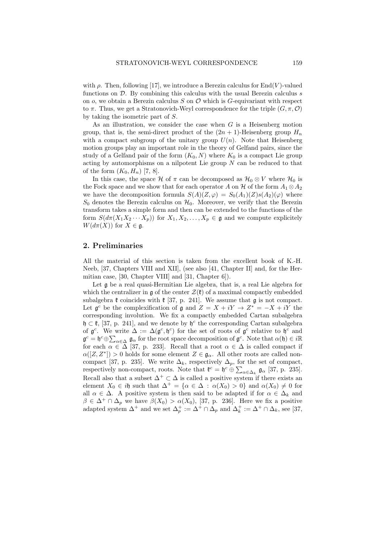with  $\rho$ . Then, following [17], we introduce a Berezin calculus for End(V)-valued functions on  $\mathcal{D}$ . By combining this calculus with the usual Berezin calculus s on  $o$ , we obtain a Berezin calculus S on  $\mathcal O$  which is G-equivariant with respect to  $\pi$ . Thus, we get a Stratonovich-Weyl correspondence for the triple  $(G, \pi, \mathcal{O})$ by taking the isometric part of S.

As an illustration, we consider the case when  $G$  is a Heisenberg motion group, that is, the semi-direct product of the  $(2n + 1)$ -Heisenberg group  $H_n$ with a compact subgroup of the unitary group  $U(n)$ . Note that Heisenberg motion groups play an important role in the theory of Gelfand pairs, since the study of a Gelfand pair of the form  $(K_0, N)$  where  $K_0$  is a compact Lie group acting by automorphisms on a nilpotent Lie group  $N$  can be reduced to that of the form  $(K_0, H_n)$  [7, 8].

In this case, the space H of  $\pi$  can be decomposed as  $\mathcal{H}_0 \otimes V$  where  $\mathcal{H}_0$  is the Fock space and we show that for each operator A on H of the form  $A_1 \otimes A_2$ we have the decomposition formula  $S(A)(Z,\varphi) = S_0(A_1)(Z) s(A_2)(\varphi)$  where  $S_0$  denotes the Berezin calculus on  $\mathcal{H}_0$ . Moreover, we verify that the Berezin transform takes a simple form and then can be extended to the functions of the form  $S(d\pi(X_1X_2\cdots X_p))$  for  $X_1, X_2, \ldots, X_p \in \mathfrak{g}$  and we compute explicitely  $W(d\pi(X))$  for  $X \in \mathfrak{g}$ .

## 2. Preliminaries

All the material of this section is taken from the excellent book of K.-H. Neeb, [37, Chapters VIII and XII], (see also [41, Chapter II] and, for the Hermitian case, [30, Chapter VIII] and [31, Chapter 6]).

Let g be a real quasi-Hermitian Lie algebra, that is, a real Lie algebra for which the centralizer in  $\mathfrak g$  of the center  $\mathcal Z(\mathfrak k)$  of a maximal compactly embedded subalgebra  $\mathfrak k$  coincides with  $\mathfrak k$  [37, p. 241]. We assume that  $\mathfrak g$  is not compact. Let  $\mathfrak{g}^c$  be the complexification of  $\mathfrak{g}$  and  $Z = X + iY \rightarrow Z^* = -X + iY$  the corresponding involution. We fix a compactly embedded Cartan subalgebra  $\mathfrak{h} \subset \mathfrak{k}$ , [37, p. 241], and we denote by  $\mathfrak{h}^c$  the corresponding Cartan subalgebra of  $\mathfrak{g}^c$ . We write  $\Delta := \Delta(\mathfrak{g}^c, \mathfrak{h}^c)$  for the set of roots of  $\mathfrak{g}^c$  relative to  $\mathfrak{h}^c$  and  $\mathfrak{g}^c = \mathfrak{h}^c \oplus \sum_{\alpha \in \Delta} \mathfrak{g}_{\alpha}$  for the root space decomposition of  $\mathfrak{g}^c$ . Note that  $\alpha(\mathfrak{h}) \in i\mathbb{R}$ for each  $\alpha \in \Delta$  [37, p. 233]. Recall that a root  $\alpha \in \Delta$  is called compact if  $\alpha([Z, Z^*]) > 0$  holds for some element  $Z \in \mathfrak{g}_{\alpha}$ . All other roots are called noncompact [37, p. 235]. We write  $\Delta_k$ , respectively  $\Delta_p$ , for the set of compact, respectively non-compact, roots. Note that  $\mathfrak{k}^c = \mathfrak{h}^c \oplus \sum_{\alpha \in \Delta_k} \mathfrak{g}_{\alpha}$  [37, p. 235]. Recall also that a subset  $\Delta^+ \subset \Delta$  is called a positive system if there exists an element  $X_0 \in i\mathfrak{h}$  such that  $\Delta^+ = {\alpha \in \Delta : \alpha(X_0) > 0}$  and  $\alpha(X_0) \neq 0$  for all  $\alpha \in \Delta$ . A positive system is then said to be adapted if for  $\alpha \in \Delta_k$  and  $\beta \in \Delta^+ \cap \Delta_p$  we have  $\beta(X_0) > \alpha(X_0)$ , [37, p. 236]. Here we fix a positive adapted system  $\Delta^+$  and we set  $\Delta_p^+ := \Delta^+ \cap \Delta_p$  and  $\Delta_k^+ := \Delta^+ \cap \Delta_k$ , see [37,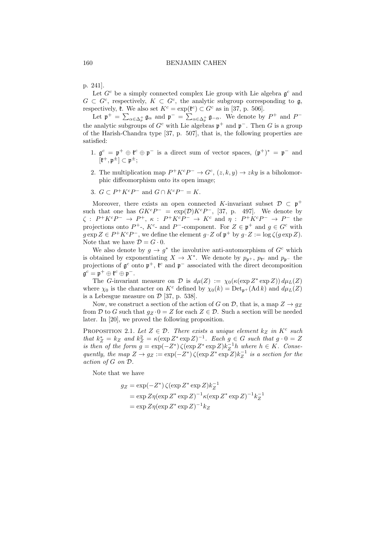p. 241].

Let  $G^c$  be a simply connected complex Lie group with Lie algebra  $\mathfrak{g}^c$  and  $G \subset G^c$ , respectively,  $K \subset G^c$ , the analytic subgroup corresponding to  $\mathfrak{g}$ , respectively,  $\mathfrak{k}$ . We also set  $K^c = \exp(\mathfrak{k}^c) \subset G^c$  as in [37, p. 506].

Let  $\mathfrak{p}^+ = \sum_{\alpha \in \Delta_p^+} \mathfrak{g}_\alpha$  and  $\mathfrak{p}^- = \sum_{\alpha \in \Delta_p^+} \mathfrak{g}_{-\alpha}$ . We denote by  $P^+$  and  $P^$ the analytic subgroups of  $G^c$  with Lie algebras  $\mathfrak{p}^+$  and  $\mathfrak{p}^-$ . Then G is a group of the Harish-Chandra type [37, p. 507], that is, the following properties are satisfied:

- 1.  $\mathfrak{g}^c = \mathfrak{p}^+ \oplus \mathfrak{k}^c \oplus \mathfrak{p}^-$  is a direct sum of vector spaces,  $(\mathfrak{p}^+)^* = \mathfrak{p}^-$  and  $[\mathfrak{k}^+,\mathfrak{p}^\pm]\subset \mathfrak{p}^\pm;$
- 2. The multiplication map  $P^+K^cP^- \to G^c$ ,  $(z, k, y) \to zky$  is a biholomorphic diffeomorphism onto its open image;
- 3.  $G \subset P^+K^cP^-$  and  $G \cap K^cP^- = K$ .

Moreover, there exists an open connected K-invariant subset  $\mathcal{D} \subset \mathfrak{p}^+$ such that one has  $G K^c P^- = \exp(D) K^c P^-$ , [37, p. 497]. We denote by  $\zeta : P^+K^cP^- \to P^+, \ \kappa : P^+K^cP^- \to K^c \text{ and } \eta : P^+K^cP^- \to P^- \text{ the }$ projections onto  $P^+$ -,  $K^c$ - and  $P^-$ -component. For  $Z \in \mathfrak{p}^+$  and  $g \in G^c$  with  $g \exp Z \in P^+ K^c P^-$ , we define the element  $g \cdot Z$  of  $\mathfrak{p}^+$  by  $g \cdot Z := \log \zeta(g \exp Z)$ . Note that we have  $\mathcal{D} = G \cdot 0$ .

We also denote by  $g \to g^*$  the involutive anti-automorphism of  $G^c$  which is obtained by exponentiating  $X \to X^*$ . We denote by  $p_{\mathfrak{p}^+}$ ,  $p_{\mathfrak{k}^c}$  and  $p_{\mathfrak{p}^-}$  the projections of  $\mathfrak{g}^c$  onto  $\mathfrak{p}^+$ ,  $\mathfrak{k}^c$  and  $\mathfrak{p}^-$  associated with the direct decomposition  $\mathfrak{g}^c = \mathfrak{p}^+ \oplus \mathfrak{k}^c \oplus \mathfrak{p}^-.$ 

The G-invariant measure on  $\mathcal D$  is  $d\mu(Z) := \chi_0(\kappa(\exp Z^* \exp Z)) d\mu_L(Z)$ where  $\chi_0$  is the character on  $K^c$  defined by  $\chi_0(k) = Det_{\mathfrak{p}^+}(\text{Ad }k)$  and  $d\mu_L(Z)$ is a Lebesgue measure on  $\mathcal{D}$  [37, p. 538].

Now, we construct a section of the action of G on D, that is, a map  $Z \rightarrow g_Z$ from D to G such that  $g_Z \cdot 0 = Z$  for each  $Z \in \mathcal{D}$ . Such a section will be needed later. In [20], we proved the following proposition.

PROPOSITION 2.1. Let  $Z \in \mathcal{D}$ . There exists a unique element  $k_Z$  in  $K^c$  such that  $k_Z^* = k_Z$  and  $k_Z^2 = \kappa(\exp Z^* \exp Z)^{-1}$ . Each  $g \in G$  such that  $g \cdot 0 = Z$ is then of the form  $g = \exp(-Z^*) \zeta(\exp Z^* \exp Z) k_Z^{-1} h$  where  $h \in K$ . Consequently, the map  $Z \to g_Z := \exp(-Z^*) \zeta (\exp Z^* \exp Z) k_Z^{-1}$  is a section for the action of G on D.

Note that we have

$$
g_Z = \exp(-Z^*) \zeta(\exp Z^* \exp Z) k_Z^{-1}
$$
  
=  $\exp Z \eta(\exp Z^* \exp Z)^{-1} \kappa(\exp Z^* \exp Z)^{-1} k_Z^{-1}$   
=  $\exp Z \eta(\exp Z^* \exp Z)^{-1} k_Z$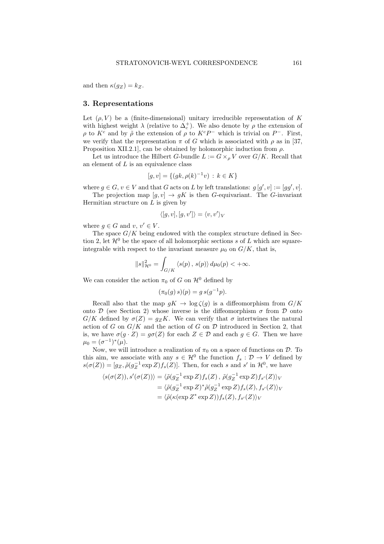and then  $\kappa(g_Z) = k_Z$ .

# 3. Representations

Let  $(\rho, V)$  be a (finite-dimensional) unitary irreducible representation of K with highest weight  $\lambda$  (relative to  $\Delta_c^+$ ). We also denote by  $\rho$  the extension of ρ to  $K^c$  and by  $\tilde{\rho}$  the extension of  $\rho$  to  $K^cP^-$  which is trivial on  $P^-$ . First, we verify that the representation  $\pi$  of G which is associated with  $\rho$  as in [37, Proposition XII.2.1], can be obtained by holomorphic induction from  $\rho$ .

Let us introduce the Hilbert G-bundle  $L := G \times_{\rho} V$  over  $G/K$ . Recall that an element of  $L$  is an equivalence class

$$
[g, v] = \{(gk, \rho(k)^{-1}v) : k \in K\}
$$

where  $g \in G$ ,  $v \in V$  and that G acts on L by left translations:  $g[g', v] := [gg', v]$ .

The projection map  $[g, v] \rightarrow gK$  is then G-equivariant. The G-invariant Hermitian structure on  $L$  is given by

$$
\langle [g,v], [g,v'] \rangle = \langle v,v' \rangle_V
$$

where  $q \in G$  and  $v, v' \in V$ .

The space  $G/K$  being endowed with the complex structure defined in Section 2, let  $\mathcal{H}^0$  be the space of all holomorphic sections s of L which are squareintegrable with respect to the invariant measure  $\mu_0$  on  $G/K$ , that is,

$$
||s||_{\mathcal{H}^0}^2 = \int_{G/K} \langle s(p), s(p) \rangle d\mu_0(p) < +\infty.
$$

We can consider the action  $\pi_0$  of G on  $\mathcal{H}^0$  defined by

$$
(\pi_0(g) s)(p) = g s(g^{-1}p).
$$

Recall also that the map  $gK \to \log \zeta(g)$  is a diffeomorphism from  $G/K$ onto D (see Section 2) whose inverse is the diffeomorphism  $\sigma$  from D onto  $G/K$  defined by  $\sigma(Z) = g_Z K$ . We can verify that  $\sigma$  intertwines the natural action of G on  $G/K$  and the action of G on D introduced in Section 2, that is, we have  $\sigma(g \cdot Z) = g\sigma(Z)$  for each  $Z \in \mathcal{D}$  and each  $g \in G$ . Then we have  $\mu_0 = (\sigma^{-1})^*(\mu).$ 

Now, we will introduce a realization of  $\pi_0$  on a space of functions on  $\mathcal{D}$ . To this aim, we associate with any  $s \in \mathcal{H}^0$  the function  $f_s : \mathcal{D} \to V$  defined by  $s(\sigma(Z)) = [g_Z, \tilde{\rho}(g_Z^{-1} \exp Z) f_s(Z)].$  Then, for each s and s' in  $\mathcal{H}^0$ , we have

$$
\langle s(\sigma(Z)), s'(\sigma(Z)) \rangle = \langle \tilde{\rho}(g_Z^{-1} \exp Z) f_s(Z), \tilde{\rho}(g_Z^{-1} \exp Z) f_{s'}(Z) \rangle_V
$$
  
= 
$$
\langle \tilde{\rho}(g_Z^{-1} \exp Z)^* \tilde{\rho}(g_Z^{-1} \exp Z) f_s(Z), f_{s'}(Z) \rangle_V
$$
  
= 
$$
\langle \tilde{\rho}(\kappa(\exp Z^* \exp Z)) f_s(Z), f_{s'}(Z) \rangle_V
$$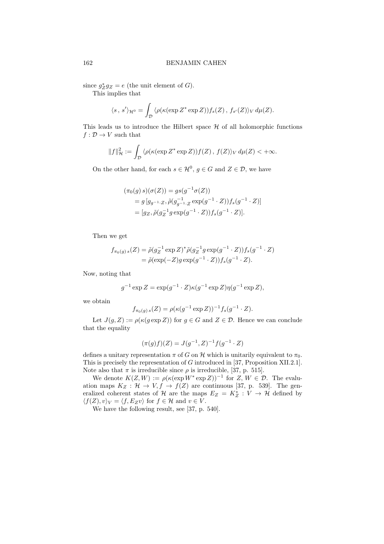since  $g_Z^* g_Z = e$  (the unit element of G).

This implies that

$$
\langle s \, , \, s' \rangle_{\mathcal{H}^0} = \int_{\mathcal{D}} \langle \rho(\kappa(\exp Z^* \exp Z)) f_s(Z) \, , \, f_{s'}(Z) \rangle_V \, d\mu(Z).
$$

This leads us to introduce the Hilbert space  $H$  of all holomorphic functions  $f: \mathcal{D} \to V$  such that

$$
||f||_{\mathcal{H}}^2 := \int_{\mathcal{D}} \langle \rho(\kappa(\exp Z^* \exp Z)) f(Z), f(Z) \rangle_V d\mu(Z) < +\infty.
$$

On the other hand, for each  $s \in \mathcal{H}^0$ ,  $g \in G$  and  $Z \in \mathcal{D}$ , we have

$$
(\pi_0(g) s)(\sigma(Z)) = gs(g^{-1}\sigma(Z))
$$
  
=  $g[g_{g^{-1}}.z, \tilde{\rho}(g_{g^{-1}}^{-1}.z \exp(g^{-1} \cdot Z))f_s(g^{-1} \cdot Z)]$   
=  $[gz, \tilde{\rho}(g_Z^{-1} g \exp(g^{-1} \cdot Z))f_s(g^{-1} \cdot Z)].$ 

Then we get

$$
f_{\pi_0(g)s}(Z) = \tilde{\rho}(g_Z^{-1} \exp Z)^* \tilde{\rho}(g_Z^{-1} g \exp(g^{-1} \cdot Z)) f_s(g^{-1} \cdot Z)
$$
  
= 
$$
\tilde{\rho}(\exp(-Z) g \exp(g^{-1} \cdot Z)) f_s(g^{-1} \cdot Z).
$$

Now, noting that

$$
g^{-1}\exp Z = \exp(g^{-1} \cdot Z)\kappa(g^{-1}\exp Z)\eta(g^{-1}\exp Z),
$$

we obtain

$$
f_{\pi_0(g) s}(Z) = \rho(\kappa(g^{-1} \exp Z))^{-1} f_s(g^{-1} \cdot Z).
$$

Let  $J(g, Z) := \rho(\kappa(g \exp Z))$  for  $g \in G$  and  $Z \in \mathcal{D}$ . Hence we can conclude that the equality

$$
(\pi(g)f)(Z) = J(g^{-1}, Z)^{-1}f(g^{-1} \cdot Z)
$$

defines a unitary representation  $\pi$  of G on H which is unitarily equivalent to  $\pi_0$ . This is precisely the representation of G introduced in [37, Proposition XII.2.1]. Note also that  $\pi$  is irreducible since  $\rho$  is irreducible, [37, p. 515].

We denote  $K(Z, W) := \rho(\kappa(\exp W^* \exp Z))^{-1}$  for  $Z, W \in \mathcal{D}$ . The evaluation maps  $K_Z : \mathcal{H} \to V, f \to f(Z)$  are continuous [37, p. 539]. The generalized coherent states of H are the maps  $E_Z = K_Z^* : V \to H$  defined by  $\langle f(Z), v \rangle_V = \langle f, E_Z v \rangle$  for  $f \in \mathcal{H}$  and  $v \in V$ .

We have the following result, see [37, p. 540].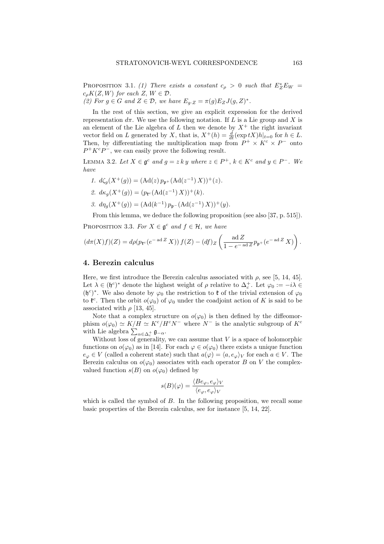PROPOSITION 3.1. (1) There exists a constant  $c_{\rho} > 0$  such that  $E^*_{Z}E_W =$  $c_{\rho}K(Z, W)$  for each  $Z, W \in \mathcal{D}$ .

(2) For  $g \in G$  and  $Z \in \mathcal{D}$ , we have  $E_{g \cdot Z} = \pi(g) E_Z J(g, Z)^*$ .

In the rest of this section, we give an explicit expression for the derived representation  $d\pi$ . We use the following notation. If L is a Lie group and X is an element of the Lie algebra of L then we denote by  $X^+$  the right invariant vector field on L generated by X, that is,  $X^+(h) = \frac{d}{dt}(\exp tX)h|_{t=0}$  for  $h \in L$ . Then, by differentiating the multiplication map from  $P^+ \times K^c \times P^-$  onto  $P^+ K^c P^-$ , we can easily prove the following result.

LEMMA 3.2. Let  $X \in \mathfrak{g}^c$  and  $g = z k y$  where  $z \in P^+$ ,  $k \in K^c$  and  $y \in P^-$ . We have

1. 
$$
d\zeta_g(X^+(g)) = (\text{Ad}(z) p_{\mathfrak{p}^+}(\text{Ad}(z^{-1}) X))^+(z).
$$
  
\n2.  $d\kappa_g(X^+(g)) = (p_{\mathfrak{k}^c}(\text{Ad}(z^{-1}) X))^+(k).$   
\n3.  $d\eta_g(X^+(g)) = (\text{Ad}(k^{-1}) p_{\mathfrak{p}^-}(\text{Ad}(z^{-1}) X))^+(y).$ 

From this lemma, we deduce the following proposition (see also [37, p. 515]).

PROPOSITION 3.3. For  $X \in \mathfrak{g}^c$  and  $f \in \mathcal{H}$ , we have

$$
\left(d\pi(X)f\right)(Z) = d\rho\left(p_{\mathfrak{k}^c}(e^{-\operatorname{ad}Z}X)\right)f(Z) - \left(df\right)_{Z}\left(\frac{\operatorname{ad}Z}{1 - e^{-\operatorname{ad}Z}p_{\mathfrak{p}^+}(e^{-\operatorname{ad}Z}X)}\right).
$$

## 4. Berezin calculus

Here, we first introduce the Berezin calculus associated with  $\rho$ , see [5, 14, 45]. Let  $\lambda \in (\mathfrak{h}^c)^*$  denote the highest weight of  $\rho$  relative to  $\Delta_c^+$ . Let  $\varphi_0 := -i\lambda \in$  $(\mathfrak{h}^c)^*$ . We also denote by  $\varphi_0$  the restriction to  $\mathfrak{k}$  of the trivial extension of  $\varphi_0$ to  $\mathfrak{k}^c$ . Then the orbit  $o(\varphi_0)$  of  $\varphi_0$  under the coadjoint action of K is said to be associated with  $\rho$  [13, 45].

Note that a complex structure on  $o(\varphi_0)$  is then defined by the diffeomorphism  $o(\varphi_0) \simeq K/H \simeq K^c/H^c N^-$  where  $N^-$  is the analytic subgroup of  $K^c$ with Lie algebra  $\sum_{\alpha \in \Delta_c^+} \mathfrak{g}_{-\alpha}$ .

Without loss of generality, we can assume that  $V$  is a space of holomorphic functions on  $o(\varphi_0)$  as in [14]. For each  $\varphi \in o(\varphi_0)$  there exists a unique function  $e_{\varphi} \in V$  (called a coherent state) such that  $a(\varphi) = \langle a, e_{\varphi} \rangle_V$  for each  $a \in V$ . The Berezin calculus on  $o(\varphi_0)$  associates with each operator B on V the complexvalued function  $s(B)$  on  $o(\varphi_0)$  defined by

$$
s(B)(\varphi)=\frac{\langle Be_{\varphi},e_{\varphi}\rangle_V}{\langle e_{\varphi},e_{\varphi}\rangle_V}
$$

which is called the symbol of  $B$ . In the following proposition, we recall some basic properties of the Berezin calculus, see for instance [5, 14, 22].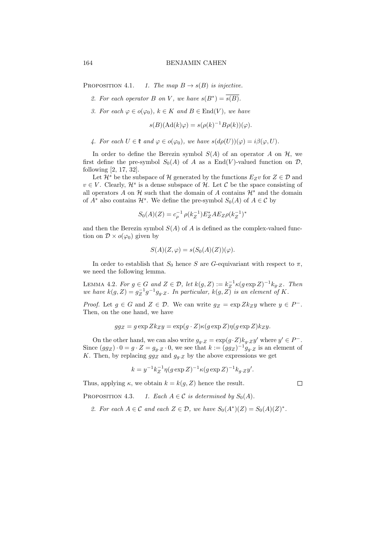PROPOSITION 4.1. 1. The map  $B \to s(B)$  is injective.

- 2. For each operator B on V, we have  $s(B^*) = \overline{s(B)}$ .
- 3. For each  $\varphi \in o(\varphi_0)$ ,  $k \in K$  and  $B \in End(V)$ , we have

$$
s(B)(\mathrm{Ad}(k)\varphi) = s(\rho(k)^{-1}B\rho(k))(\varphi).
$$

4. For each  $U \in \mathfrak{k}$  and  $\varphi \in o(\varphi_0)$ , we have  $s(d\rho(U))(\varphi) = i\beta(\varphi, U)$ .

In order to define the Berezin symbol  $S(A)$  of an operator A on  $H$ , we first define the pre-symbol  $S_0(A)$  of A as a End(V)-valued function on  $\mathcal{D}$ , following [2, 17, 32].

Let  $\mathcal{H}^s$  be the subspace of H generated by the functions  $E_Zv$  for  $Z \in \mathcal{D}$  and  $v \in V$ . Clearly,  $\mathcal{H}^s$  is a dense subspace of  $\mathcal{H}$ . Let C be the space consisting of all operators A on  $\mathcal H$  such that the domain of A contains  $\mathcal H^s$  and the domain of  $A^*$  also contains  $\mathcal{H}^s$ . We define the pre-symbol  $S_0(A)$  of  $A \in \mathcal{C}$  by

$$
S_0(A)(Z) = c_{\rho}^{-1} \rho(k_Z^{-1}) E_Z^* A E_Z \rho(k_Z^{-1})^*
$$

and then the Berezin symbol  $S(A)$  of A is defined as the complex-valued function on  $\mathcal{D} \times o(\varphi_0)$  given by

$$
S(A)(Z, \varphi) = s(S_0(A)(Z))(\varphi).
$$

In order to establish that  $S_0$  hence S are G-equivariant with respect to  $\pi$ , we need the following lemma.

LEMMA 4.2. For  $g \in G$  and  $Z \in \mathcal{D}$ , let  $k(g, Z) := k_Z^{-1} \kappa (g \exp Z)^{-1} k_{g \cdot Z}$ . Then we have  $k(g, Z) = g_Z^{-1} g^{-1} g_{g \cdot Z}$ . In particular,  $k(g, Z)$  is an element of K.

*Proof.* Let  $g \in G$  and  $Z \in \mathcal{D}$ . We can write  $g_Z = \exp Z k_Z y$  where  $y \in P^-$ . Then, on the one hand, we have

$$
gg_Z = g \exp Zk_Z y = \exp(g \cdot Z) \kappa (g \exp Z) \eta (g \exp Z) k_Z y.
$$

On the other hand, we can also write  $g_{g \cdot Z} = \exp(g \cdot Z) k_{g \cdot Z} y'$  where  $y' \in P^-$ . Since  $(gg_Z) \cdot 0 = g \cdot Z = g_{g \cdot Z} \cdot 0$ , we see that  $k := (gg_Z)^{-1} g_{g \cdot Z}$  is an element of K. Then, by replacing  $gg_Z$  and  $g_g$  by the above expressions we get

$$
k = y^{-1} k_Z^{-1} \eta (g \exp Z)^{-1} \kappa (g \exp Z)^{-1} k_g. z y'.
$$

Thus, applying  $\kappa$ , we obtain  $k = k(g, Z)$  hence the result.

 $\Box$ 

PROPOSITION 4.3. 1. Each  $A \in \mathcal{C}$  is determined by  $S_0(A)$ .

2. For each  $A \in \mathcal{C}$  and each  $Z \in \mathcal{D}$ , we have  $S_0(A^*)(Z) = S_0(A)(Z)^*$ .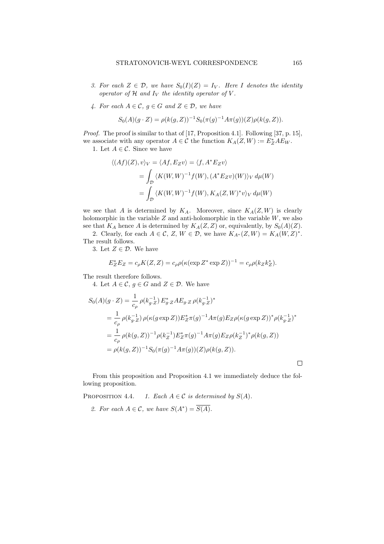- 3. For each  $Z \in \mathcal{D}$ , we have  $S_0(I)(Z) = I_V$ . Here I denotes the identity operator of  $H$  and  $I_V$  the identity operator of  $V$ .
- 4. For each  $A \in \mathcal{C}$ ,  $g \in G$  and  $Z \in \mathcal{D}$ , we have

$$
S_0(A)(g \cdot Z) = \rho(k(g, Z))^{-1} S_0(\pi(g)^{-1} A \pi(g))(Z) \rho(k(g, Z)).
$$

Proof. The proof is similar to that of [17, Proposition 4.1]. Following [37, p. 15], we associate with any operator  $A \in \mathcal{C}$  the function  $K_A(Z, W) := E^*_Z A E_W$ .

1. Let  $A \in \mathcal{C}$ . Since we have

$$
\langle (Af)(Z), v \rangle_V = \langle Af, E_Z v \rangle = \langle f, A^* E_Z v \rangle
$$
  
= 
$$
\int_{\mathcal{D}} \langle K(W, W)^{-1} f(W), (A^* E_Z v)(W) \rangle_V d\mu(W)
$$
  
= 
$$
\int_{\mathcal{D}} \langle K(W, W)^{-1} f(W), K_A(Z, W)^* v \rangle_V d\mu(W)
$$

we see that A is determined by  $K_A$ . Moreover, since  $K_A(Z, W)$  is clearly holomorphic in the variable  $Z$  and anti-holomorphic in the variable  $W$ , we also see that  $K_A$  hence A is determined by  $K_A(Z, Z)$  or, equivalently, by  $S_0(A)(Z)$ .

2. Clearly, for each  $A \in \mathcal{C}$ ,  $Z, W \in \mathcal{D}$ , we have  $K_{A^*}(Z, W) = K_A(W, Z)^*$ . The result follows.

3. Let  $Z \in \mathcal{D}$ . We have

$$
E_Z^* E_Z = c_\rho K(Z, Z) = c_\rho \rho (\kappa (\exp Z^* \exp Z))^{-1} = c_\rho \rho (k_Z k_Z^*).
$$

The result therefore follows.

4. Let  $A \in \mathcal{C}$ ,  $g \in G$  and  $Z \in \mathcal{D}$ . We have

$$
S_0(A)(g \cdot Z) = \frac{1}{c_\rho} \rho(k_{g \cdot Z}^{-1}) E_{g \cdot Z}^* A E_{g \cdot Z} \rho(k_{g \cdot Z}^{-1})^*
$$
  
\n
$$
= \frac{1}{c_\rho} \rho(k_{g \cdot Z}^{-1}) \rho(\kappa(g \exp Z)) E_Z^* \pi(g)^{-1} A \pi(g) E_Z \rho(\kappa(g \exp Z))^* \rho(k_{g \cdot Z}^{-1})^*
$$
  
\n
$$
= \frac{1}{c_\rho} \rho(k(g, Z))^{-1} \rho(k_Z^{-1}) E_Z^* \pi(g)^{-1} A \pi(g) E_Z \rho(k_Z^{-1})^* \rho(k(g, Z))
$$
  
\n
$$
= \rho(k(g, Z))^{-1} S_0(\pi(g)^{-1} A \pi(g))(Z) \rho(k(g, Z)).
$$

From this proposition and Proposition 4.1 we immediately deduce the following proposition.

PROPOSITION 4.4. 1. Each  $A \in \mathcal{C}$  is determined by  $S(A)$ .

2. For each  $A \in \mathcal{C}$ , we have  $S(A^*) = \overline{S(A)}$ .

 $\Box$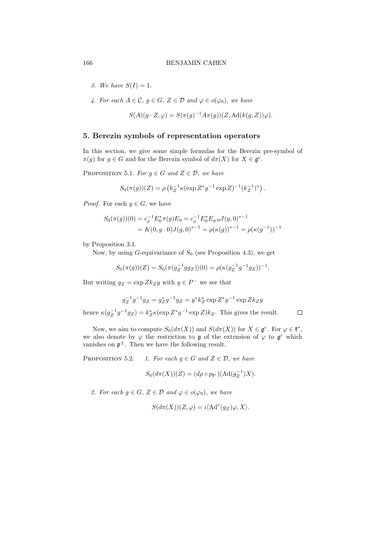- 3. We have  $S(I) = 1$ .
- 4. For each  $A \in \mathcal{C}$ ,  $g \in G$ ,  $Z \in \mathcal{D}$  and  $\varphi \in o(\varphi_0)$ , we have

$$
S(A)(g \cdot Z, \varphi) = S(\pi(g)^{-1} A \pi(g))(Z, \mathrm{Ad}(k(g, Z))\varphi).
$$

# 5. Berezin symbols of representation operators

In this section, we give some simple formulas for the Berezin pre-symbol of  $\pi(g)$  for  $g \in G$  and for the Berezin symbol of  $d\pi(X)$  for  $X \in \mathfrak{g}^c$ .

PROPOSITION 5.1. For  $g \in G$  and  $Z \in \mathcal{D}$ , we have

$$
S_0(\pi(g))(Z) = \rho \left( k_Z^{-1} \kappa(\exp Z^* g^{-1} \exp Z)^{-1} (k_Z^{-1})^* \right).
$$

*Proof.* For each  $g \in G$ , we have

$$
S_0(\pi(g))(0) = c_\rho^{-1} E_0^* \pi(g) E_0 = c_\rho^{-1} E_0^* E_{g \cdot 0} J(g, 0)^{*-1}
$$
  
=  $K(0, g \cdot 0) J(g, 0)^{*-1} = \rho(\kappa(g))^{*-1} = \rho(\kappa(g^{-1}))^{-1}$ 

by Proposition 3.1.

Now, by using  $G$ -equivariance of  $S_0$  (see Proposition 4.3), we get

$$
S_0(\pi(g))(Z) = S_0(\pi(g_Z^{-1}gg_Z))(0) = \rho(\kappa(g_Z^{-1}g^{-1}gg_Z))^{-1}.
$$

But writing  $g_Z = \exp Zk_Z y$  with  $y \in P^-$  we see that

$$
g_Z^{-1}g^{-1}g_Z = g_Z^*g^{-1}g_Z = y^*k_Z^* \exp Z^*g^{-1} \exp Zk_Zy
$$

hence  $\kappa(g_Z^{-1}g^{-1}g_Z) = k_Z^* \kappa(\exp Z^*g^{-1} \exp Z) k_Z$ . This gives the result.  $\Box$ 

Now, we aim to compute  $S_0(d\pi(X))$  and  $S(d\pi(X))$  for  $X \in \mathfrak{g}^c$ . For  $\varphi \in \mathfrak{k}^*$ , we also denote by  $\varphi$  the restriction to  $\mathfrak g$  of the extension of  $\varphi$  to  $\mathfrak g^c$  which vanishes on  $p^{\pm}$ . Then we have the following result.

PROPOSITION 5.2. 1. For each  $g \in G$  and  $Z \in \mathcal{D}$ , we have

$$
S_0(d\pi(X))(Z) = (d\rho \circ p_{\mathfrak{k}^c})(\text{Ad}(g_Z^{-1})X).
$$

2. For each  $g \in G$ ,  $Z \in \mathcal{D}$  and  $\varphi \in o(\varphi_0)$ , we have

$$
S(d\pi(X))(Z,\varphi) = i \langle \operatorname{Ad}^*(g_Z)\varphi, X \rangle.
$$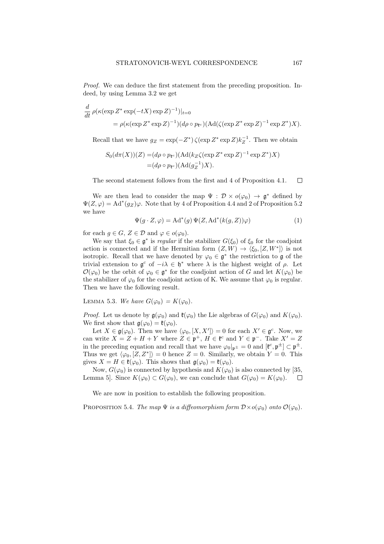Proof. We can deduce the first statement from the preceding proposition. Indeed, by using Lemma 3.2 we get

$$
\frac{d}{dt} \rho(\kappa(\exp Z^* \exp(-tX) \exp Z)^{-1})|_{t=0}
$$
  
=  $\rho(\kappa(\exp Z^* \exp Z)^{-1})(d\rho \circ p_{\mathfrak{k}^c})(\text{Ad}(\zeta(\exp Z^* \exp Z)^{-1} \exp Z^*)X).$ 

Recall that we have  $g_Z = \exp(-Z^*) \zeta(\exp Z^* \exp Z) k_Z^{-1}$ . Then we obtain

$$
S_0(d\pi(X))(Z) = (d\rho \circ p_{\mathfrak{k}^c}) (\operatorname{Ad}(k_Z \zeta(\exp Z^* \exp Z)^{-1} \exp Z^*)X)
$$
  
=  $(d\rho \circ p_{\mathfrak{k}^c}) (\operatorname{Ad}(g_Z^{-1})X).$ 

The second statement follows from the first and 4 of Proposition 4.1.  $\Box$ 

We are then lead to consider the map  $\Psi : \mathcal{D} \times o(\varphi_0) \to \mathfrak{g}^*$  defined by  $\Psi(Z,\varphi) = \text{Ad}^*(g_Z)\varphi$ . Note that by 4 of Proposition 4.4 and 2 of Proposition 5.2 we have

$$
\Psi(g \cdot Z, \varphi) = \mathrm{Ad}^*(g) \, \Psi(Z, \mathrm{Ad}^*(k(g, Z))\varphi) \tag{1}
$$

for each  $g \in G$ ,  $Z \in \mathcal{D}$  and  $\varphi \in o(\varphi_0)$ .

We say that  $\xi_0 \in \mathfrak{g}^*$  is *regular* if the stabilizer  $G(\xi_0)$  of  $\xi_0$  for the coadjoint action is connected and if the Hermitian form  $(Z, W) \to \langle \xi_0, [Z, W^*] \rangle$  is not isotropic. Recall that we have denoted by  $\varphi_0 \in \mathfrak{g}^*$  the restriction to  $\mathfrak{g}$  of the trivial extension to  $\mathfrak{g}^c$  of  $-i\lambda \in \mathfrak{h}^*$  where  $\lambda$  is the highest weight of  $\rho$ . Let  $\mathcal{O}(\varphi_0)$  be the orbit of  $\varphi_0 \in \mathfrak{g}^*$  for the coadjoint action of G and let  $K(\varphi_0)$  be the stabilizer of  $\varphi_0$  for the coadjoint action of K. We assume that  $\varphi_0$  is regular. Then we have the following result.

LEMMA 5.3. We have  $G(\varphi_0) = K(\varphi_0)$ .

*Proof.* Let us denote by  $\mathfrak{g}(\varphi_0)$  and  $\mathfrak{k}(\varphi_0)$  the Lie algebras of  $G(\varphi_0)$  and  $K(\varphi_0)$ . We first show that  $\mathfrak{g}(\varphi_0) = \mathfrak{k}(\varphi_0)$ .

Let  $X \in \mathfrak{g}(\varphi_0)$ . Then we have  $\langle \varphi_0, [X, X'] \rangle = 0$  for each  $X' \in \mathfrak{g}^c$ . Now, we can write  $X = Z + H + Y$  where  $Z \in \mathfrak{p}^+, H \in \mathfrak{k}^c$  and  $Y \in \mathfrak{p}^-$ . Take  $X' = Z$ in the preceding equation and recall that we have  $\varphi_0|_{\mathfrak{p}^\pm} = 0$  and  $[\mathfrak{k}^c, \mathfrak{p}^\pm] \subset \mathfrak{p}^\pm$ . Thus we get  $\langle \varphi_0, [Z, Z^*] \rangle = 0$  hence  $Z = 0$ . Similarly, we obtain  $Y = 0$ . This gives  $X = H \in \mathfrak{k}(\varphi_0)$ . This shows that  $\mathfrak{g}(\varphi_0) = \mathfrak{k}(\varphi_0)$ .

Now,  $G(\varphi_0)$  is connected by hypothesis and  $K(\varphi_0)$  is also connected by [35, Lemma 5]. Since  $K(\varphi_0) \subset G(\varphi_0)$ , we can conclude that  $G(\varphi_0) = K(\varphi_0)$ .  $\Box$ 

We are now in position to establish the following proposition.

PROPOSITION 5.4. The map  $\Psi$  is a diffeomorphism form  $\mathcal{D}\times o(\varphi_0)$  onto  $\mathcal{O}(\varphi_0)$ .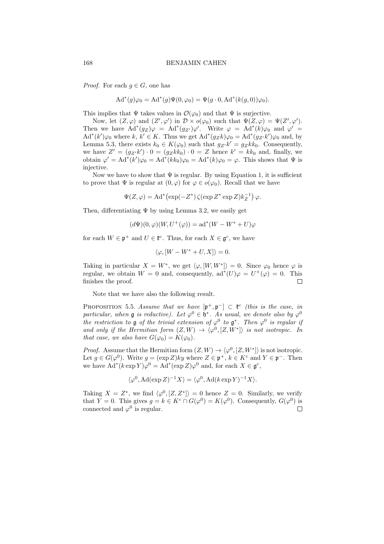*Proof.* For each  $g \in G$ , one has

$$
Ad^*(g)\varphi_0 = Ad^*(g)\Psi(0,\varphi_0) = \Psi(g \cdot 0, Ad^*(k(g,0))\varphi_0).
$$

This implies that  $\Psi$  takes values in  $\mathcal{O}(\varphi_0)$  and that  $\Psi$  is surjective.

Now, let  $(Z, \varphi)$  and  $(Z', \varphi')$  in  $\mathcal{D} \times o(\varphi_0)$  such that  $\Psi(Z, \varphi) = \Psi(Z', \varphi')$ . Then we have  $\text{Ad}^*(g_Z)\varphi = \text{Ad}^*(g_{Z'})\varphi'$ . Write  $\varphi = \text{Ad}^*(k)\varphi_0$  and  $\varphi' =$  $\text{Ad}^*(k')\varphi_0$  where k,  $k' \in K$ . Thus we get  $\text{Ad}^*(g_Zk)\varphi_0 = \text{Ad}^*(g_{Z'}k')\varphi_0$  and, by Lemma 5.3, there exists  $k_0 \in K(\varphi_0)$  such that  $g_{Z'}k' = g_Zkk_0$ . Consequently, we have  $Z' = (g_Z k') \cdot 0 = (g_Z k k_0) \cdot 0 = Z$  hence  $k' = k k_0$  and, finally, we obtain  $\varphi' = \text{Ad}^*(k')\varphi_0 = \text{Ad}^*(kk_0)\varphi_0 = \text{Ad}^*(k)\varphi_0 = \varphi$ . This shows that  $\Psi$  is injective.

Now we have to show that  $\Psi$  is regular. By using Equation 1, it is sufficient to prove that  $\Psi$  is regular at  $(0, \varphi)$  for  $\varphi \in o(\varphi_0)$ . Recall that we have

$$
\Psi(Z,\varphi) = \mathrm{Ad}^* \big( \exp(-Z^*) \, \zeta(\exp Z^* \exp Z) k_Z^{-1} \big) \, \varphi.
$$

Then, differentiating  $\Psi$  by using Lemma 3.2, we easily get

$$
(d\Psi)(0,\varphi)(W,U^+(\varphi)) = \mathrm{ad}^*(W - W^* + U)\varphi
$$

for each  $W \in \mathfrak{p}^+$  and  $U \in \mathfrak{k}^c$ . Thus, for each  $X \in \mathfrak{g}^c$ , we have

$$
\langle \varphi, [W - W^* + U, X] \rangle = 0.
$$

Taking in particular  $X = W^*$ , we get  $\langle \varphi, [W, W^*] \rangle = 0$ . Since  $\varphi_0$  hence  $\varphi$  is regular, we obtain  $W = 0$  and, consequently,  $ad^*(U)\varphi = U^+(\varphi) = 0$ . This finishes the proof.  $\Box$ 

Note that we have also the following result.

PROPOSITION 5.5. Assume that we have  $[\mathfrak{p}^+, \mathfrak{p}^-] \subset \mathfrak{k}^c$  (this is the case, in particular, when **g** is reductive). Let  $\varphi^0 \in \mathfrak{h}^*$ . As usual, we denote also by  $\varphi^0$ the restriction to **g** of the trivial extension of  $\varphi^0$  to  $\mathfrak{g}^*$ . Then  $\varphi^0$  is regular if and only if the Hermitian form  $(Z, W) \to \langle \varphi^0, [Z, W^*] \rangle$  is not isotropic. In that case, we also have  $G(\varphi_0) = K(\varphi_0)$ .

*Proof.* Assume that the Hermitian form  $(Z, W) \to \langle \varphi^0, [Z, W^*] \rangle$  is not isotropic. Let  $g \in G(\varphi^0)$ . Write  $g = (\exp Z)ky$  where  $Z \in \mathfrak{p}^+, k \in K^c$  and  $Y \in \mathfrak{p}^-$ . Then we have  $\text{Ad}^*(k \exp Y) \varphi^0 = \text{Ad}^*(\exp Z) \varphi^0$  and, for each  $X \in \mathfrak{g}^c$ ,

$$
\langle \varphi^0, \text{Ad}(\exp Z)^{-1}X \rangle = \langle \varphi^0, \text{Ad}(k \exp Y)^{-1}X \rangle.
$$

Taking  $X = Z^*$ , we find  $\langle \varphi^0, [Z, Z^*] \rangle = 0$  hence  $Z = 0$ . Similarly, we verify that  $Y = 0$ . This gives  $g = k \in K^c \cap G(\varphi^0) = K(\varphi^0)$ . Consequently,  $G(\varphi^0)$  is connected and  $\varphi^0$  is regular.  $\Box$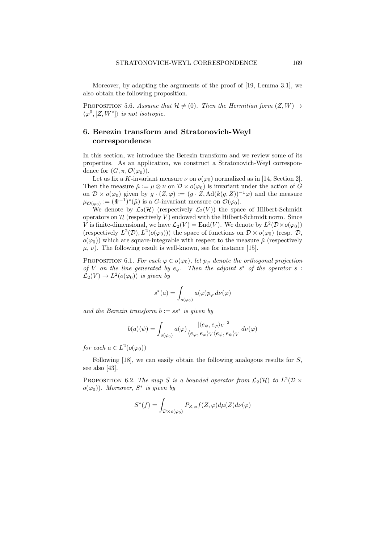Moreover, by adapting the arguments of the proof of [19, Lemma 3.1], we also obtain the following proposition.

PROPOSITION 5.6. Assume that  $\mathcal{H} \neq (0)$ . Then the Hermitian form  $(Z, W) \rightarrow$  $\langle \varphi^0, [Z, W^*] \rangle$  is not isotropic.

# 6. Berezin transform and Stratonovich-Weyl correspondence

In this section, we introduce the Berezin transform and we review some of its properties. As an application, we construct a Stratonovich-Weyl correspondence for  $(G, \pi, \mathcal{O}(\varphi_0)).$ 

Let us fix a K-invariant measure  $\nu$  on  $o(\varphi_0)$  normalized as in [14, Section 2]. Then the measure  $\tilde{\mu} := \mu \otimes \nu$  on  $\mathcal{D} \times o(\varphi_0)$  is invariant under the action of G on  $\mathcal{D} \times o(\varphi_0)$  given by  $g \cdot (Z, \varphi) := (g \cdot Z, \mathrm{Ad}(k(g, Z))^{-1} \varphi)$  and the measure  $\mu_{\mathcal{O}(\varphi_0)} := (\Psi^{-1})^*(\tilde{\mu})$  is a G-invariant measure on  $\mathcal{O}(\varphi_0)$ .

We denote by  $\mathcal{L}_2(\mathcal{H})$  (respectively  $\mathcal{L}_2(V)$ ) the space of Hilbert-Schmidt operators on  $\mathcal H$  (respectively V) endowed with the Hilbert-Schmidt norm. Since V is finite-dimensional, we have  $\mathcal{L}_2(V) = \text{End}(V)$ . We denote by  $L^2(\mathcal{D} \times o(\varphi_0))$ (respectively  $L^2(\mathcal{D}), L^2(o(\varphi_0)))$  the space of functions on  $\mathcal{D} \times o(\varphi_0)$  (resp.  $\mathcal{D},$  $o(\varphi_0)$ ) which are square-integrable with respect to the measure  $\tilde{\mu}$  (respectively  $\mu$ ,  $\nu$ ). The following result is well-known, see for instance [15].

PROPOSITION 6.1. For each  $\varphi \in o(\varphi_0)$ , let  $p_{\varphi}$  denote the orthogonal projection of V on the line generated by  $e_{\varphi}$ . Then the adjoint  $s^*$  of the operator  $s$ :  $\mathcal{L}_2(V) \to L^2(o(\varphi_0))$  is given by

$$
s^*(a)=\int_{o(\varphi_0)}a(\varphi)p_\varphi\,d\nu(\varphi)
$$

and the Berezin transform  $b := ss^*$  is given by

$$
b(a)(\psi) = \int_{o(\varphi_0)} a(\varphi) \frac{|\langle e_{\psi}, e_{\varphi} \rangle_V|^2}{\langle e_{\varphi}, e_{\varphi} \rangle_V \langle e_{\psi}, e_{\psi} \rangle_V} d\nu(\varphi)
$$

for each  $a \in L^2(o(\varphi_0))$ 

Following [18], we can easily obtain the following analogous results for S, see also [43].

PROPOSITION 6.2. The map S is a bounded operator from  $\mathcal{L}_2(\mathcal{H})$  to  $L^2(\mathcal{D} \times$  $o(\varphi_0)$ ). Moreover,  $S^*$  is given by

$$
S^*(f) = \int_{\mathcal{D}\times o(\varphi_0)} P_{Z,\varphi}f(Z,\varphi)d\mu(Z)d\nu(\varphi)
$$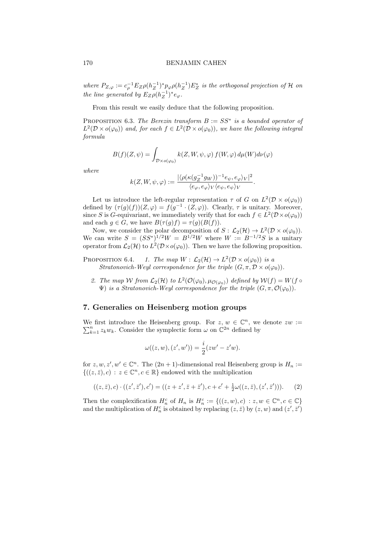where  $P_{Z,\varphi} := c_{\rho}^{-1} E_Z \rho (h_Z^{-1})^* p_{\varphi} \rho (h_Z^{-1}) E_Z^*$  is the orthogonal projection of H on the line generated by  $E_Z \rho (h_Z^{-1})^* e_{\varphi}$ .

From this result we easily deduce that the following proposition.

PROPOSITION 6.3. The Berezin transform  $B := SS^*$  is a bounded operator of  $L^2(\mathcal{D}\times o(\varphi_0))$  and, for each  $f\in L^2(\mathcal{D}\times o(\varphi_0))$ , we have the following integral formula

$$
B(f)(Z,\psi) = \int_{\mathcal{D}\times o(\varphi_0)} k(Z,W,\psi,\varphi) f(W,\varphi) d\mu(W) d\nu(\varphi)
$$

where

$$
k(Z,W,\psi,\varphi):=\frac{|\langle \rho(\kappa(g_Z^{-1}g_W))^{-1}e_\psi,e_\varphi\rangle_V|^2}{\langle e_\varphi,e_\varphi\rangle_V\langle e_\psi,e_\psi\rangle_V}.
$$

Let us introduce the left-regular representation  $\tau$  of G on  $L^2(\mathcal{D} \times o(\varphi_0))$ defined by  $(\tau(g)(f))(Z,\varphi) = f(g^{-1} \cdot (Z,\varphi))$ . Clearly,  $\tau$  is unitary. Moreover, since S is G-equivariant, we immediately verify that for each  $f \in L^2(\mathcal{D} \times o(\varphi_0))$ and each  $g \in G$ , we have  $B(\tau(g)f) = \tau(g)(B(f)).$ 

Now, we consider the polar decomposition of  $S: \mathcal{L}_2(\mathcal{H}) \to L^2(\mathcal{D} \times o(\varphi_0)).$ We can write  $S = (SS^*)^{1/2}W = B^{1/2}W$  where  $W := B^{-1/2}S$  is a unitary operator from  $\mathcal{L}_2(\mathcal{H})$  to  $L^2(\mathcal{D}\times o(\varphi_0))$ . Then we have the following proposition.

- PROPOSITION 6.4. 1. The map  $W : \mathcal{L}_2(\mathcal{H}) \to L^2(\mathcal{D} \times o(\varphi_0))$  is a Stratonovich-Weyl correspondence for the triple  $(G, \pi, \mathcal{D} \times o(\varphi_0)).$ 
	- 2. The map W from  $\mathcal{L}_2(\mathcal{H})$  to  $L^2(\mathcal{O}(\varphi_0), \mu_{\mathcal{O}(\varphi_0)})$  defined by  $\mathcal{W}(f) = W(f \circ \varphi_0)$  $\Psi$ ) is a Stratonovich-Weyl correspondence for the triple  $(G, \pi, \mathcal{O}(\varphi_0)).$

# 7. Generalies on Heisenberg motion groups

We first introduce the Heisenberg group. For  $z, w \in \mathbb{C}^n$ , we denote  $zw :=$  $\sum_{k=1}^{n} z_k w_k$ . Consider the symplectic form  $\omega$  on  $\mathbb{C}^{2n}$  defined by

$$
\omega((z, w), (z', w')) = \frac{i}{2}(zw' - z'w).
$$

for  $z, w, z', w' \in \mathbb{C}^n$ . The  $(2n + 1)$ -dimensional real Heisenberg group is  $H_n :=$  $\{((z,\bar{z}),c) : z \in \mathbb{C}^n, c \in \mathbb{R}\}\$ endowed with the multiplication

$$
((z,\bar{z}),c) \cdot ((z',\bar{z}'),c') = ((z+z',\bar{z}+\bar{z}'),c+c'+\frac{1}{2}\omega((z,\bar{z}),(z',\bar{z}'))). \tag{2}
$$

Then the complexification  $H_n^c$  of  $H_n$  is  $H_n^c := \{((z, w), c) : z, w \in \mathbb{C}^n, c \in \mathbb{C}\}\$ and the multiplication of  $H_n^c$  is obtained by replacing  $(z, \bar{z})$  by  $(z, w)$  and  $(z', \bar{z}')$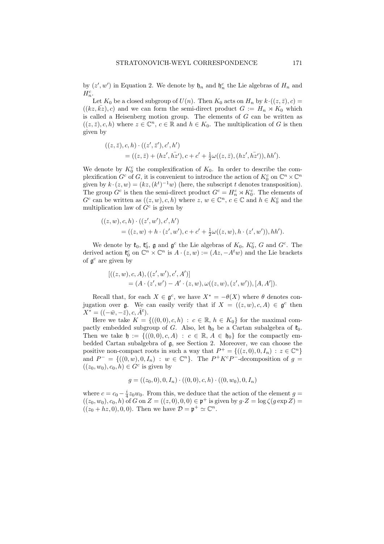by  $(z', w')$  in Equation 2. We denote by  $\mathfrak{h}_n$  and  $\mathfrak{h}_n^c$  the Lie algebras of  $H_n$  and  $H_n^c$ .

Let  $K_0$  be a closed subgroup of  $U(n)$ . Then  $K_0$  acts on  $H_n$  by  $k \cdot ((z, \bar{z}), c) =$  $((kz, kz), c)$  and we can form the semi-direct product  $G := H_n \rtimes K_0$  which is called a Heisenberg motion group. The elements of  $G$  can be written as  $((z, \bar{z}), c, h)$  where  $z \in \mathbb{C}^n$ ,  $c \in \mathbb{R}$  and  $h \in K_0$ . The multiplication of G is then given by

$$
((z, \bar{z}), c, h) \cdot ((z', \bar{z}'), c', h')
$$
  
= ((z, \bar{z}) + (hz', h\bar{z}'), c + c' + \frac{1}{2}\omega((z, \bar{z}), (hz', h\bar{z}')), hh').

We denote by  $K_0^c$  the complexification of  $K_0$ . In order to describe the complexification  $G^c$  of G, it is convenient to introduce the action of  $K_0^c$  on  $\mathbb{C}^n \times \mathbb{C}^n$ given by  $k \cdot (z, w) = (kz, (k^t)^{-1}w)$  (here, the subscript t denotes transposition). The group  $G^c$  is then the semi-direct product  $G^c = H_n^c \rtimes K_0^c$ . The elements of  $G^c$  can be written as  $((z, w), c, h)$  where  $z, w \in \mathbb{C}^n$ ,  $c \in \mathbb{C}$  and  $h \in K_0^c$  and the multiplication law of  $G<sup>c</sup>$  is given by

$$
((z, w), c, h) \cdot ((z', w'), c', h')
$$
  
= ((z, w) + h \cdot (z', w'), c + c' +  $\frac{1}{2}\omega((z, w), h \cdot (z', w')), hh').$ 

We denote by  $\mathfrak{k}_0$ ,  $\mathfrak{k}_0^c$ ,  $\mathfrak{g}$  and  $\mathfrak{g}^c$  the Lie algebras of  $K_0$ ,  $K_0^c$ ,  $G$  and  $G^c$ . The derived action  $\mathfrak{k}_0^c$  on  $\mathbb{C}^n \times \mathbb{C}^n$  is  $A \cdot (z, w) := (Az, -A^t w)$  and the Lie brackets of  $\mathfrak{g}^c$  are given by

$$
[((z,w),c,A),((z',w'),c',A')]
$$
  
=  $(A \cdot (z',w') - A' \cdot (z,w), \omega((z,w), (z',w')), [A, A']).$ 

Recall that, for each  $X \in \mathfrak{g}^c$ , we have  $X^* = -\theta(X)$  where  $\theta$  denotes conjugation over g. We can easily verify that if  $X = ((z, w), c, A) \in \mathfrak{g}^c$  then  $X^* = ((-\bar{w}, -\bar{z}), c, \bar{A}^t).$ 

Here we take  $K = \{((0,0), c, h) : c \in \mathbb{R}, h \in K_0\}$  for the maximal compactly embedded subgroup of G. Also, let  $\mathfrak{h}_0$  be a Cartan subalgebra of  $\mathfrak{k}_0$ . Then we take  $\mathfrak{h} := \{((0,0), c, A) : c \in \mathbb{R}, A \in \mathfrak{h}_0\}$  for the compactly embedded Cartan subalgebra of g, see Section 2. Moreover, we can choose the positive non-compact roots in such a way that  $P^+ = \{((z,0),0,I_n) : z \in \mathbb{C}^n\}$ and  $P^- = \{((0, w), 0, I_n) : w \in \mathbb{C}^n\}$ . The  $P^+K^cP^-$ -decomposition of  $g =$  $((z_0, w_0), c_0, h) \in G^c$  is given by

$$
g = ((z_0, 0), 0, I_n) \cdot ((0, 0), c, h) \cdot ((0, w_0), 0, I_n)
$$

where  $c = c_0 - \frac{i}{4}z_0w_0$ . From this, we deduce that the action of the element  $g =$  $((z_0, w_0), c_0, h)$  of G on  $Z = ((z, 0), 0, 0) \in \mathfrak{p}^+$  is given by  $g \cdot Z = \log \zeta(g \exp Z) =$  $((z_0 + hz, 0), 0, 0)$ . Then we have  $\mathcal{D} = \mathfrak{p}^+ \simeq \mathbb{C}^n$ .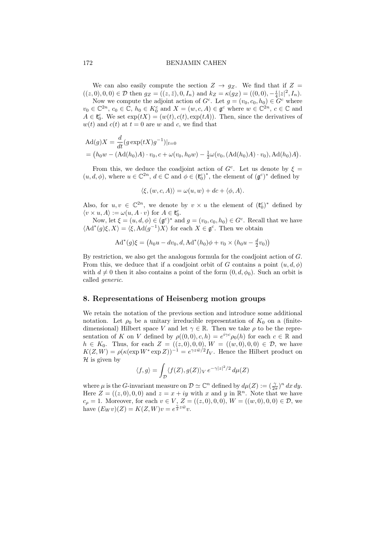We can also easily compute the section  $Z \rightarrow g_Z$ . We find that if  $Z =$  $((z, 0), 0, 0) \in \mathcal{D}$  then  $g_Z = ((z, \bar{z}), 0, I_n)$  and  $k_Z = \kappa(g_Z) = ((0, 0), -\frac{i}{4}|z|^2, I_n)$ .

Now we compute the adjoint action of  $G^c$ . Let  $g = (v_0, c_0, h_0) \in \overline{G}^c$  where  $v_0 \in \mathbb{C}^{2n}$ ,  $c_0 \in \mathbb{C}$ ,  $h_0 \in K_0^c$  and  $X = (w, c, A) \in \mathfrak{g}^c$  where  $w \in \mathbb{C}^{2n}$ ,  $c \in \mathbb{C}$  and  $A \in \mathfrak{k}_0^c$ . We set  $\exp(tX) = (w(t), c(t), \exp(tA))$ . Then, since the derivatives of  $w(t)$  and  $c(t)$  at  $t = 0$  are w and c, we find that

$$
Ad(g)X = \frac{d}{dt}(g \exp(tX)g^{-1})|_{t=0}
$$
  
=  $(h_0w - (Ad(h_0)A) \cdot v_0, c + \omega(v_0, h_0w) - \frac{1}{2}\omega(v_0, (Ad(h_0)A) \cdot v_0), Ad(h_0)A).$ 

From this, we deduce the coadjoint action of  $G<sup>c</sup>$ . Let us denote by  $\xi =$  $(u, d, \phi)$ , where  $u \in \mathbb{C}^{2n}$ ,  $d \in \mathbb{C}$  and  $\phi \in (\mathfrak{k}_0^c)^*$ , the element of  $(\mathfrak{g}^c)^*$  defined by

$$
\langle \xi, (w, c, A) \rangle = \omega(u, w) + dc + \langle \phi, A \rangle.
$$

Also, for  $u, v \in \mathbb{C}^{2n}$ , we denote by  $v \times u$  the element of  $(\mathfrak{k}_0^c)^*$  defined by  $\langle v \times u, A \rangle := \omega(u, A \cdot v) \text{ for } A \in \mathfrak{k}_0^c.$ 

Now, let  $\xi = (u, d, \phi) \in (\mathfrak{g}^c)^*$  and  $g = (v_0, c_0, h_0) \in G^c$ . Recall that we have  $\langle \mathrm{Ad}^*(g)\xi, X\rangle = \langle \xi, \mathrm{Ad}(g^{-1})X\rangle$  for each  $X \in \mathfrak{g}^c$ . Then we obtain

$$
Ad^*(g)\xi = (h_0u - dv_0, d, Ad^*(h_0)\phi + v_0 \times (h_0u - \frac{d}{2}v_0))
$$

By restriction, we also get the analogous formula for the coadjoint action of G. From this, we deduce that if a coadjoint orbit of G contains a point  $(u, d, \phi)$ with  $d \neq 0$  then it also contains a point of the form  $(0, d, \phi_0)$ . Such an orbit is called generic.

# 8. Representations of Heisenberg motion groups

We retain the notation of the previous section and introduce some additional notation. Let  $\rho_0$  be a unitary irreducible representation of  $K_0$  on a (finitedimensional) Hilbert space V and let  $\gamma \in \mathbb{R}$ . Then we take  $\rho$  to be the representation of K on V defined by  $\rho((0,0),c,h) = e^{i\gamma c} \rho_0(h)$  for each  $c \in \mathbb{R}$  and  $h \in K_0$ . Thus, for each  $Z = ((z, 0), 0, 0), W = ((w, 0), 0, 0) \in \mathcal{D}$ , we have  $K(Z, W) = \rho(\kappa(\exp W^* \exp Z))^{-1} = e^{\gamma z \bar{w}/2} I_V$ . Hence the Hilbert product on  $\mathcal H$  is given by

$$
\langle f, g \rangle = \int_{\mathcal{D}} \langle f(Z), g(Z) \rangle_V e^{-\gamma |z|^2/2} d\mu(Z)
$$

where  $\mu$  is the *G*-invariant measure on  $\mathcal{D} \simeq \mathbb{C}^n$  defined by  $d\mu(Z) := (\frac{\gamma}{2\pi})^n dx dy$ . Here  $Z = ((z, 0), 0, 0)$  and  $z = x + iy$  with x and y in  $\mathbb{R}^n$ . Note that we have  $c_{\rho} = 1$ . Moreover, for each  $v \in V$ ,  $Z = ((z, 0), 0, 0), W = ((w, 0), 0, 0) \in \mathcal{D}$ , we have  $(E_W v)(Z) = K(Z, W)v = e^{\frac{\gamma}{2}z\bar{w}}v$ .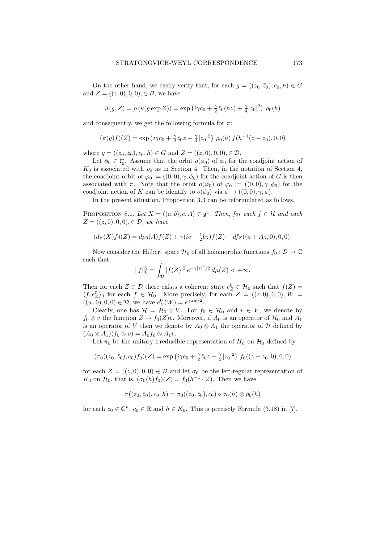On the other hand, we easily verify that, for each  $g = ((z_0, \bar{z}_0), c_0, h) \in G$ and  $Z = ((z, 0), 0, 0), \in \mathcal{D}$ , we have

$$
J(g,Z) = \rho\left(\kappa(g\exp Z)\right) = \exp\left(i\gamma c_0 + \frac{\gamma}{2}\bar{z}_0(hz) + \frac{\gamma}{4}|z_0|^2\right)\,\rho_0(h)
$$

and consequently, we get the following formula for  $\pi$ :

$$
(\pi(g)f)(Z) = \exp\left(i\gamma c_0 + \frac{\gamma}{2}\bar{z}_0 z - \frac{\gamma}{4}|z_0|^2\right)\,\rho_0(h)\,f(h^{-1}(z-z_0),0,0)
$$

where  $g = ((z_0, \bar{z}_0), c_0, h) \in G$  and  $Z = ((z, 0), 0, 0), \in \mathcal{D}$ .

Let  $\phi_0 \in \mathfrak{k}_0^*$ . Assume that the orbit  $o(\phi_0)$  of  $\phi_0$  for the coadjoint action of  $K_0$  is associated with  $\rho_0$  as in Section 4. Then, in the notation of Section 4, the coadjoint orbit of  $\varphi_0 := ((0,0), \gamma, \phi_0)$  for the coadjoint action of G is then associated with  $\pi$ . Note that the orbit  $o(\varphi_0)$  of  $\varphi_0 := ((0,0), \gamma, \phi_0)$  for the coadjoint action of K can be identify to  $o(\phi_0)$  via  $\phi \rightarrow ((0,0), \gamma, \phi)$ .

In the present situation, Proposition 3.3 can be reformulated as follows.

PROPOSITION 8.1. Let  $X = ((a, b), c, A) \in \mathfrak{g}^c$ . Then, for each  $f \in \mathcal{H}$  and each  $Z = ((z, 0), 0, 0), \in \mathcal{D}$ , we have

$$
(d\pi(X)f)(Z) = d\rho_0(A)f(Z) + \gamma(ic - \frac{1}{2}bz)f(Z) - df_Z((a + Az, 0), 0, 0).
$$

Now consider the Hilbert space  $\mathcal{H}_0$  of all holomorphic functions  $f_0 : \mathcal{D} \to \mathbb{C}$ such that

$$
||f||_0^2 = \int_{\mathcal{D}} |f(Z)|^2 e^{-\gamma |z|^2/2} d\mu(Z) < +\infty.
$$

Then for each  $Z \in \mathcal{D}$  there exists a coherent state  $e^0_Z \in \mathcal{H}_0$  such that  $f(Z)$  $\langle f, e^0 \rangle$  for each  $f \in \mathcal{H}_0$ . More precisely, for each  $Z = ((z, 0), 0, 0), W =$  $((w, 0), 0, 0) \in \mathcal{D}$ , we have  $e^0_Z(W) = e^{\gamma \bar{z}w/2}$ .

Clearly, one has  $\mathcal{H} = \mathcal{H}_0 \otimes V$ . For  $f_0 \in \mathcal{H}_0$  and  $v \in V$ , we denote by  $f_0 \otimes v$  the function  $Z \to f_0(Z)v$ . Moreover, if  $A_0$  is an operator of  $\mathcal{H}_0$  and  $A_1$ is an operator of V then we denote by  $A_0 \otimes A_1$  the operator of H defined by  $(A_0 \otimes A_1)(f_0 \otimes v) = A_0f_0 \otimes A_1v.$ 

Let  $\pi_0$  be the unitary irreducible representation of  $H_n$  on  $\mathcal{H}_0$  defined by

$$
(\pi_0((z_0,\bar{z}_0),c_0)f_0)(Z) = \exp(i\gamma c_0 + \frac{\gamma}{2}\bar{z}_0z - \frac{\gamma}{2}|z_0|^2) f_0((z-z_0,0),0,0)
$$

for each  $Z = ((z, 0), 0, 0) \in \mathcal{D}$  and let  $\sigma_0$  be the left-regular representation of  $K_0$  on  $\mathcal{H}_0$ , that is,  $(\sigma_0(h)f_0)(Z) = f_0(h^{-1} \cdot Z)$ . Then we have

$$
\pi((z_0,\bar{z}_0),c_0,h)=\pi_0((z_0,\bar{z}_0),c_0)\circ\sigma_0(h)\otimes\rho_0(h)
$$

for each  $z_0 \in \mathbb{C}^n$ ,  $c_0 \in \mathbb{R}$  and  $h \in K_0$ . This is precisely Formula (3.18) in [7].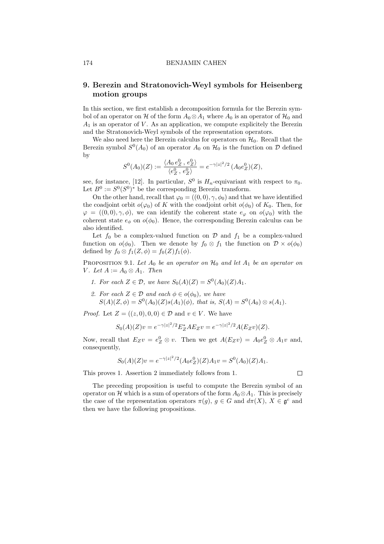# 9. Berezin and Stratonovich-Weyl symbols for Heisenberg motion groups

In this section, we first establish a decomposition formula for the Berezin symbol of an operator on H of the form  $A_0 \otimes A_1$  where  $A_0$  is an operator of  $H_0$  and  $A_1$  is an operator of V. As an application, we compute explicitely the Berezin and the Stratonovich-Weyl symbols of the representation operators.

We also need here the Berezin calculus for operators on  $\mathcal{H}_0$ . Recall that the Berezin symbol  $S^0(A_0)$  of an operator  $A_0$  on  $\mathcal{H}_0$  is the function on  $\mathcal D$  defined by

$$
S^{0}(A_{0})(Z) := \frac{\langle A_{0} e_{Z}^{0}, e_{Z}^{0} \rangle}{\langle e_{Z}^{0}, e_{Z}^{0} \rangle} = e^{-\gamma |z|^{2}/2} (A_{0} e_{Z}^{0})(Z),
$$

see, for instance, [12]. In particular,  $S^0$  is  $H_n$ -equivariant with respect to  $\pi_0$ . Let  $B^0 := S^0(S^0)^*$  be the corresponding Berezin transform.

On the other hand, recall that  $\varphi_0 = ((0,0), \gamma, \phi_0)$  and that we have identified the coadjoint orbit  $o(\varphi_0)$  of K with the coadjoint orbit  $o(\phi_0)$  of  $K_0$ . Then, for  $\varphi = ((0,0), \gamma, \phi)$ , we can identify the coherent state  $e_{\varphi}$  on  $o(\varphi_0)$  with the coherent state  $e_{\phi}$  on  $o(\phi_0)$ . Hence, the corresponding Berezin calculus can be also identified.

Let  $f_0$  be a complex-valued function on  $\mathcal D$  and  $f_1$  be a complex-valued function on  $o(\phi_0)$ . Then we denote by  $f_0 \otimes f_1$  the function on  $\mathcal{D} \times o(\phi_0)$ defined by  $f_0 \otimes f_1(Z, \phi) = f_0(Z) f_1(\phi)$ .

PROPOSITION 9.1. Let  $A_0$  be an operator on  $H_0$  and let  $A_1$  be an operator on V. Let  $A := A_0 \otimes A_1$ . Then

- 1. For each  $Z \in \mathcal{D}$ , we have  $S_0(A)(Z) = S^0(A_0)(Z)A_1$ .
- 2. For each  $Z \in \mathcal{D}$  and each  $\phi \in o(\phi_0)$ , we have  $S(A)(Z, \phi) = S^{0}(A_0)(Z) s(A_1)(\phi)$ , that is,  $S(A) = S^{0}(A_0) \otimes s(A_1)$ .

*Proof.* Let  $Z = ((z, 0), 0, 0) \in \mathcal{D}$  and  $v \in V$ . We have

$$
S_0(A)(Z)v = e^{-\gamma |z|^2/2} E_Z^* A E_Z v = e^{-\gamma |z|^2/2} A(E_Z v)(Z).
$$

Now, recall that  $E_Zv = e_Z^0 \otimes v$ . Then we get  $A(E_Zv) = A_0e_Z^0 \otimes A_1v$  and, consequently,

$$
S_0(A)(Z)v = e^{-\gamma |z|^2/2} (A_0 e_Z^0)(Z) A_1 v = S^0(A_0)(Z) A_1.
$$

This proves 1. Assertion 2 immediately follows from 1.

 $\Box$ 

The preceding proposition is useful to compute the Berezin symbol of an operator on H which is a sum of operators of the form  $A_0 \otimes A_1$ . This is precisely the case of the representation operators  $\pi(g)$ ,  $g \in G$  and  $d\pi(X)$ ,  $X \in \mathfrak{g}^c$  and then we have the following propositions.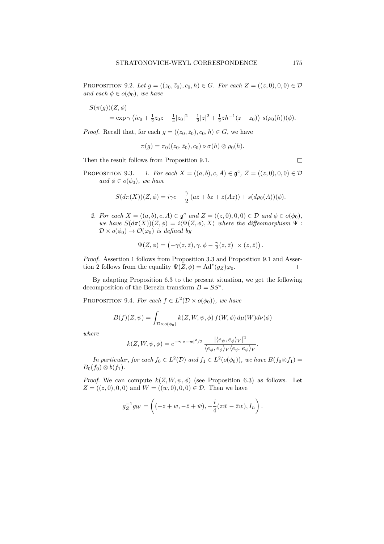PROPOSITION 9.2. Let  $g = ((z_0, \bar{z}_0), c_0, h) \in G$ . For each  $Z = ((z, 0), 0, 0) \in \mathcal{D}$ and each  $\phi \in o(\phi_0)$ , we have

$$
S(\pi(g))(Z,\phi)
$$
  
=  $\exp \gamma (ic_0 + \frac{1}{2}\bar{z}_0 z - \frac{1}{4}|z_0|^2 - \frac{1}{2}|z|^2 + \frac{1}{2}\bar{z}h^{-1}(z-z_0)) s(\rho_0(h))(\phi).$ 

*Proof.* Recall that, for each  $g = ((z_0, \bar{z}_0), c_0, h) \in G$ , we have

$$
\pi(g)=\pi_0((z_0,\bar{z}_0),c_0)\circ\sigma(h)\otimes\rho_0(h).
$$

Then the result follows from Proposition 9.1.

PROPOSITION 9.3. 1. For each  $X = ((a, b), c, A) \in \mathfrak{g}^c$ ,  $Z = ((z, 0), 0, 0) \in \mathcal{D}$ and  $\phi \in o(\phi_0)$ , we have

$$
S(d\pi(X))(Z,\phi) = i\gamma c - \frac{\gamma}{2} (a\overline{z} + bz + \overline{z}(Az)) + s(d\rho_0(A))(\phi).
$$

2. For each  $X = ((a, b), c, A) \in \mathfrak{g}^c$  and  $Z = ((z, 0), 0, 0) \in \mathcal{D}$  and  $\phi \in o(\phi_0)$ , we have  $S(d\pi(X))(Z, \phi) = i\langle \Psi(Z, \phi), X \rangle$  where the diffeomorphism  $\Psi$ :  $\mathcal{D} \times o(\phi_0) \rightarrow \mathcal{O}(\varphi_0)$  is defined by

$$
\Psi(Z,\phi) = \left(-\gamma(z,\bar{z}), \gamma, \phi - \frac{\gamma}{2}(z,\bar{z}) \right) \times (z,\bar{z})\right).
$$

Proof. Assertion 1 follows from Proposition 3.3 and Proposition 9.1 and Assertion 2 follows from the equality  $\Psi(Z, \phi) = \text{Ad}^*(g_Z)\varphi_0$ .  $\Box$ 

By adapting Proposition 6.3 to the present situation, we get the following decomposition of the Berezin transform  $B = SS^*$ .

PROPOSITION 9.4. For each  $f \in L^2(\mathcal{D} \times o(\phi_0))$ , we have

$$
B(f)(Z,\psi) = \int_{\mathcal{D}\times o(\phi_0)} k(Z,W,\psi,\phi) f(W,\phi) d\mu(W) d\nu(\phi)
$$

where

$$
k(Z, W, \psi, \phi) = e^{-\gamma |z-w|^2/2} \frac{|\langle e_{\psi}, e_{\phi} \rangle_V|^2}{\langle e_{\phi}, e_{\phi} \rangle_V \langle e_{\psi}, e_{\psi} \rangle_V}.
$$

In particular, for each  $f_0 \in L^2(\mathcal{D})$  and  $f_1 \in L^2(o(\phi_0))$ , we have  $B(f_0 \otimes f_1)$  $B_0(f_0) \otimes b(f_1)$ .

*Proof.* We can compute  $k(Z, W, \psi, \phi)$  (see Proposition 6.3) as follows. Let  $Z = ((z, 0), 0, 0)$  and  $W = ((w, 0), 0, 0) \in \mathcal{D}$ . Then we have

$$
g_Z^{-1} g_W = \left( (-z+w, -\overline{z}+\overline{w}), -\frac{i}{4} (z\overline{w} - \overline{z}w), I_n \right).
$$

$$
\Box
$$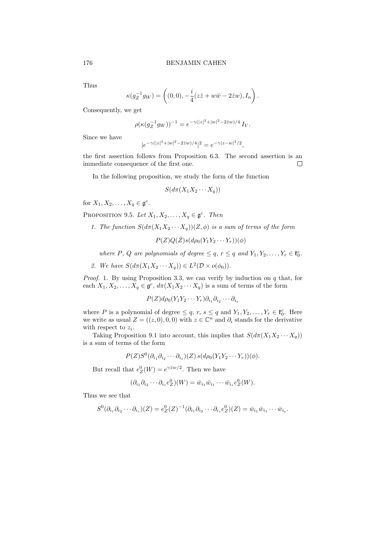Thus

$$
\kappa(g_Z^{-1}g_W) = \left( (0,0), -\frac{i}{4}(z\overline{z}+w\overline{w}-2\overline{z}w), I_n \right).
$$

Consequently, we get

$$
\rho(\kappa(g_Z^{-1}g_W))^{-1} = e^{-\gamma(|z|^2 + |w|^2 - 2\bar{z}w)/4} I_V.
$$

Since we have

$$
|e^{-\gamma(|z|^2+|w|^2-2\bar{z}w)/4}|^2=e^{-\gamma|z-w|^2/2},
$$

the first assertion follows from Proposition 6.3. The second assertion is an immediate consequence of the first one.  $\Box$ 

In the following proposition, we study the form of the function

$$
S(d\pi(X_1X_2\cdots X_q))
$$

for  $X_1, X_2, \ldots, X_q \in \mathfrak{g}^c$ .

PROPOSITION 9.5. Let  $X_1, X_2, \ldots, X_q \in \mathfrak{g}^c$ . Then

1. The function  $S(d\pi(X_1X_2\cdots X_q))(Z,\phi)$  is a sum of terms of the form

 $P(Z)Q(\bar{Z})s(d\rho_0(Y_1Y_2\cdots Y_r))(\phi)$ 

where P, Q are polynomials of degree  $\leq q$ ,  $r \leq q$  and  $Y_1, Y_2, \ldots, Y_r \in \mathfrak{k}_0^c$ .

2. We have  $S(d\pi(X_1X_2\cdots X_q)) \in L^2(\mathcal{D} \times o(\phi_0)).$ 

*Proof.* 1. By using Proposition 3.3, we can verify by induction on  $q$  that, for each  $X_1, X_2, \ldots, X_q \in \mathfrak{g}^c$ ,  $d\pi(X_1X_2\cdots X_q)$  is a sum of terms of the form

$$
P(Z)d\rho_0(Y_1Y_2\cdots Y_r)\partial_{i_1}\partial_{i_2}\cdots\partial_{i_s}
$$

where P is a polynomial of degree  $\leq q$ ,  $r$ ,  $s \leq q$  and  $Y_1, Y_2, \ldots, Y_r \in \mathfrak{k}_0^c$ . Here we write as usual  $Z = ((z, 0), 0, 0)$  with  $z \in \mathbb{C}^n$  and  $\partial_i$  stands for the derivative with respect to  $z_i$ .

Taking Proposition 9.1 into account, this implies that  $S(d\pi(X_1X_2\cdots X_q))$ is a sum of terms of the form

$$
P(Z)S^{0}(\partial_{i_1}\partial_{i_2}\cdots\partial_{i_s})(Z) s(d\rho_0(Y_1Y_2\cdots Y_r))(\phi).
$$

But recall that  $e^0_Z(W) = e^{\gamma \bar{z}w/2}$ . Then we have

$$
(\partial_{i_1}\partial_{i_2}\cdots\partial_{i_s}e^0_Z)(W)=\bar{w}_{i_1}\bar{w}_{i_1}\cdots\bar{w}_{i_s}e^0_Z(W).
$$

Thus we see that

$$
S^0(\partial_{i_1}\partial_{i_2}\cdots\partial_{i_s})(Z)=e^0_Z(Z)^{-1}(\partial_{i_1}\partial_{i_2}\cdots\partial_{i_s}e^0_Z)(Z)=\bar{w}_{i_1}\bar{w}_{i_1}\cdots\bar{w}_{i_s}.
$$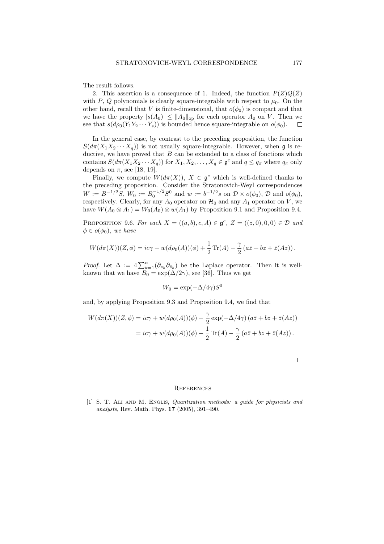The result follows.

2. This assertion is a consequence of 1. Indeed, the function  $P(Z)Q(\overline{Z})$ with P, Q polynomials is clearly square-integrable with respect to  $\mu_0$ . On the other hand, recall that V is finite-dimensional, that  $o(\phi_0)$  is compact and that we have the property  $|s(A_0)| \leq ||A_0||_{op}$  for each operator  $A_0$  on V. Then we see that  $s(d\rho_0(Y_1Y_2\cdots Y_s))$  is bounded hence square-integrable on  $o(\phi_0)$ .  $\Box$ 

In the general case, by contrast to the preceding proposition, the function  $S(d\pi(X_1X_2\cdots X_q))$  is not usually square-integrable. However, when g is reductive, we have proved that  $B$  can be extended to a class of fonctions which contains  $S(d\pi(X_1X_2\cdots X_q))$  for  $X_1, X_2, \ldots, X_q \in \mathfrak{g}^c$  and  $q \leq q_\pi$  where  $q_\pi$  only depends on  $\pi$ , see [18, 19].

Finally, we compute  $W(d\pi(X))$ ,  $X \in \mathfrak{g}^c$  which is well-defined thanks to the preceding proposition. Consider the Stratonovich-Weyl correspondences  $W := B^{-1/2}S$ ,  $W_0 := B_0^{-1/2}S^0$  and  $w := b^{-1/2}s$  on  $\mathcal{D} \times o(\phi_0)$ ,  $\mathcal{D}$  and  $o(\phi_0)$ , respectively. Clearly, for any  $A_0$  operator on  $\mathcal{H}_0$  and any  $A_1$  operator on V, we have  $W(A_0 \otimes A_1) = W_0(A_0) \otimes w(A_1)$  by Proposition 9.1 and Proposition 9.4.

PROPOSITION 9.6. For each  $X = ((a, b), c, A) \in \mathfrak{g}^c$ ,  $Z = ((z, 0), 0, 0) \in \mathcal{D}$  and  $\phi \in o(\phi_0)$ , we have

$$
W(d\pi(X))(Z,\phi) = ic\gamma + w(d\rho_0(A))(\phi) + \frac{1}{2}\operatorname{Tr}(A) - \frac{\gamma}{2}(a\bar{z} + bz + \bar{z}(Az)).
$$

*Proof.* Let  $\Delta := 4 \sum_{k=1}^{n} (\partial_{z_k} \partial_{\bar{z}_k})$  be the Laplace operator. Then it is wellknown that we have  $B_0 = \exp(\Delta/2\gamma)$ , see [36]. Thus we get

$$
W_0 = \exp(-\Delta/4\gamma)S^0
$$

and, by applying Proposition 9.3 and Proposition 9.4, we find that

$$
W(d\pi(X))(Z,\phi) = ic\gamma + w(d\rho_0(A))(\phi) - \frac{\gamma}{2} \exp(-\Delta/4\gamma) (a\bar{z} + bz + \bar{z}(Az))
$$
  
=  $ic\gamma + w(d\rho_0(A))(\phi) + \frac{1}{2} \operatorname{Tr}(A) - \frac{\gamma}{2} (a\bar{z} + bz + \bar{z}(Az)).$ 

#### **REFERENCES**

[1] S. T. Ali and M. Englis, Quantization methods: a guide for physicists and analysts, Rev. Math. Phys. 17 (2005), 391–490.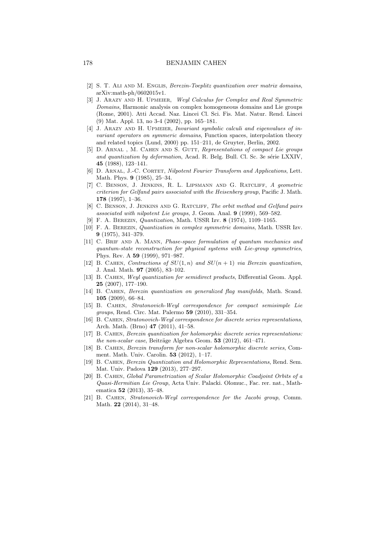- [2] S. T. Ali and M. Englis, Berezin-Toeplitz quantization over matrix domains, arXiv:math-ph/0602015v1.
- [3] J. Arazy and H. Upmeier, Weyl Calculus for Complex and Real Symmetric Domains, Harmonic analysis on complex homogeneous domains and Lie groups (Rome, 2001). Atti Accad. Naz. Lincei Cl. Sci. Fis. Mat. Natur. Rend. Lincei (9) Mat. Appl. 13, no 3-4 (2002), pp. 165–181.
- [4] J. Arazy and H. Upmeier, Invariant symbolic calculi and eigenvalues of invariant operators on symmeric domains, Function spaces, interpolation theory and related topics (Lund, 2000) pp. 151–211, de Gruyter, Berlin, 2002.
- [5] D. ARNAL, M. CAHEN AND S. GUTT, Representations of compact Lie groups and quantization by deformation, Acad. R. Belg. Bull. Cl. Sc. 3e série LXXIV, 45 (1988), 123–141.
- [6] D. ARNAL, J.-C. CORTET, Nilpotent Fourier Transform and Applications, Lett. Math. Phys. 9 (1985), 25–34.
- [7] C. Benson, J. Jenkins, R. L. Lipsmann and G. Ratcliff, A geometric criterion for Gelfand pairs associated with the Heisenberg group, Pacific J. Math. 178 (1997), 1–36.
- [8] C. Benson, J. Jenkins and G. Ratcliff, The orbit method and Gelfand pairs associated with nilpotent Lie groups, J. Geom. Anal. 9 (1999), 569–582.
- [9] F. A. Berezin, Quantization, Math. USSR Izv. 8 (1974), 1109–1165.
- [10] F. A. Berezin, Quantization in complex symmetric domains, Math. USSR Izv. 9 (1975), 341–379.
- [11] C. BRIF AND A. MANN, Phase-space formulation of quantum mechanics and quantum-state reconstruction for physical systems with Lie-group symmetries, Phys. Rev. A 59 (1999), 971–987.
- [12] B. CAHEN, Contractions of  $SU(1, n)$  and  $SU(n + 1)$  via Berezin quantization, J. Anal. Math. 97 (2005), 83–102.
- [13] B. Cahen, Weyl quantization for semidirect products, Differential Geom. Appl. 25 (2007), 177–190.
- [14] B. Cahen, Berezin quantization on generalized flag manifolds, Math. Scand. 105 (2009), 66–84.
- [15] B. CAHEN, Stratonovich-Weyl correspondence for compact semisimple Lie groups, Rend. Circ. Mat. Palermo 59 (2010), 331–354.
- [16] B. Cahen, Stratonovich-Weyl correspondence for discrete series representations, Arch. Math. (Brno) 47 (2011), 41–58.
- [17] B. Cahen, Berezin quantization for holomorphic discrete series representations: the non-scalar case, Beiträge Algebra Geom.  $53$  (2012), 461–471.
- [18] B. Cahen, Berezin transform for non-scalar holomorphic discrete series, Comment. Math. Univ. Carolin. 53 (2012), 1–17.
- [19] B. Cahen, Berezin Quantization and Holomorphic Representations, Rend. Sem. Mat. Univ. Padova 129 (2013), 277–297.
- [20] B. Cahen, Global Parametrization of Scalar Holomorphic Coadjoint Orbits of a Quasi-Hermitian Lie Group, Acta Univ. Palacki. Olomuc., Fac. rer. nat., Mathematica 52 (2013), 35–48.
- [21] B. Cahen, Stratonovich-Weyl correspondence for the Jacobi group, Comm. Math. 22 (2014), 31–48.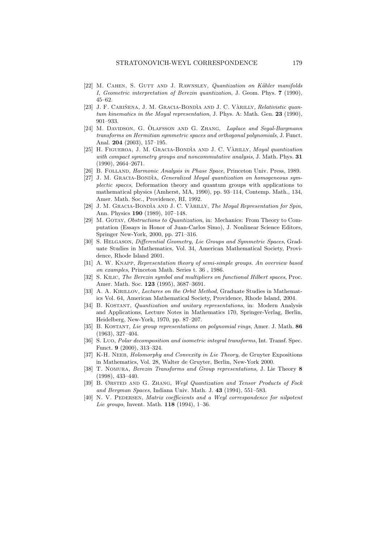- [22] M. CAHEN, S. GUTT AND J. RAWNSLEY, Quantization on Kähler manifolds I, Geometric interpretation of Berezin quantization, J. Geom. Phys. 7 (1990), 45–62.
- [23] J. F. CARIÑENA, J. M. GRACIA-BONDÌA AND J. C. VÀRILLY, Relativistic quantum kinematics in the Moyal representation, J. Phys. A: Math. Gen. 23 (1990), 901–933.
- [24] M. DAVIDSON, G. OLAFSSON AND G. ZHANG, Laplace and Segal-Bargmann transforms on Hermitian symmetric spaces and orthogonal polynomials, J. Funct. Anal. 204 (2003), 157–195.
- [25] H. FIGUEROA, J. M. GRACIA-BONDÌA AND J. C. VÀRILLY, Moyal quantization with compact symmetry groups and noncommutative analysis, J. Math. Phys. 31 (1990), 2664–2671.
- [26] B. Folland, Harmonic Analysis in Phase Space, Princeton Univ. Press, 1989.
- [27] J. M. GRACIA-BONDIA, Generalized Moyal quantization on homogeneous symplectic spaces, Deformation theory and quantum groups with applications to mathematical physics (Amherst, MA, 1990), pp. 93–114, Contemp. Math., 134, Amer. Math. Soc., Providence, RI, 1992.
- [28] J. M. GRACIA-BONDÌA AND J. C. VARILLY, The Moyal Representation for Spin, Ann. Physics 190 (1989), 107–148.
- [29] M. GOTAY, *Obstructions to Quantization*, in: Mechanics: From Theory to Computation (Essays in Honor of Juan-Carlos Simo), J. Nonlinear Science Editors, Springer New-York, 2000, pp. 271–316.
- [30] S. Helgason, Differential Geometry, Lie Groups and Symmetric Spaces, Graduate Studies in Mathematics, Vol. 34, American Mathematical Society, Providence, Rhode Island 2001.
- [31] A. W. Knapp, Representation theory of semi-simple groups. An overview based on examples, Princeton Math. Series t. 36 , 1986.
- [32] S. Kilic, The Berezin symbol and multipliers on functional Hilbert spaces, Proc. Amer. Math. Soc. 123 (1995), 3687–3691.
- [33] A. A. KIRILLOV, Lectures on the Orbit Method, Graduate Studies in Mathematics Vol. 64, American Mathematical Society, Providence, Rhode Island, 2004.
- [34] B. Kostant, Quantization and unitary representations, in: Modern Analysis and Applications, Lecture Notes in Mathematics 170, Springer-Verlag, Berlin, Heidelberg, New-York, 1970, pp. 87–207.
- [35] B. Kostant, Lie group representations on polynomial rings, Amer. J. Math. 86 (1963), 327–404.
- [36] S. Luo, Polar decomposition and isometric integral transforms, Int. Transf. Spec. Funct. 9 (2000), 313–324.
- [37] K-H. NEEB, Holomorphy and Convexity in Lie Theory, de Gruyter Expositions in Mathematics, Vol. 28, Walter de Gruyter, Berlin, New-York 2000.
- [38] T. Nomura, Berezin Transforms and Group representations, J. Lie Theory 8 (1998), 433–440.
- [39] B. Ørsted and G. Zhang, Weyl Quantization and Tensor Products of Fock and Bergman Spaces, Indiana Univ. Math. J. 43 (1994), 551–583.
- [40] N. V. PEDERSEN, Matrix coefficients and a Weyl correspondence for nilpotent Lie groups, Invent. Math. 118 (1994), 1–36.